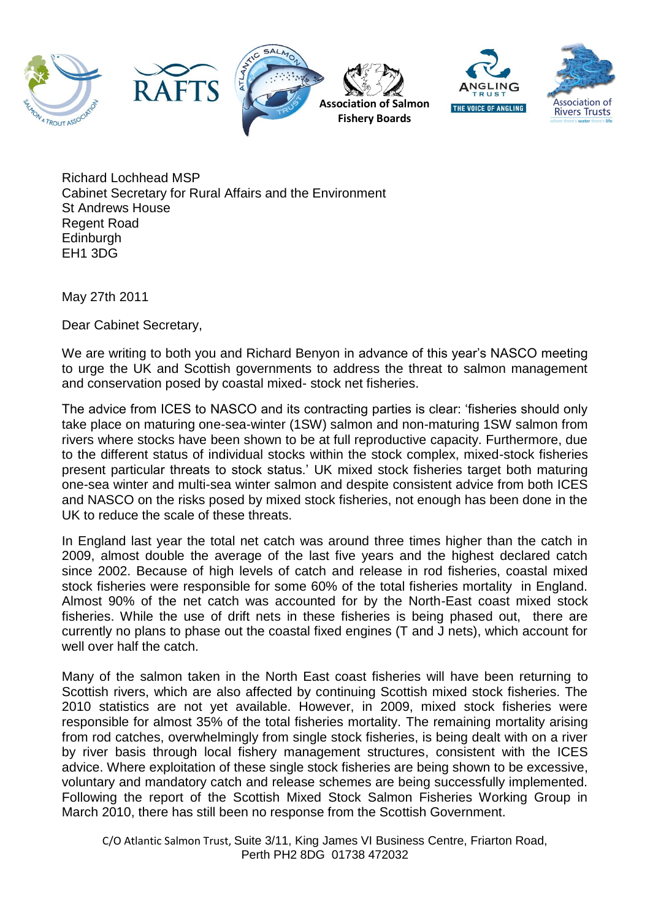

Richard Lochhead MSP Cabinet Secretary for Rural Affairs and the Environment St Andrews House Regent Road **Edinburgh** EH1 3DG

May 27th 2011

Dear Cabinet Secretary,

We are writing to both you and Richard Benyon in advance of this year's NASCO meeting to urge the UK and Scottish governments to address the threat to salmon management and conservation posed by coastal mixed- stock net fisheries.

The advice from ICES to NASCO and its contracting parties is clear: 'fisheries should only take place on maturing one-sea-winter (1SW) salmon and non-maturing 1SW salmon from rivers where stocks have been shown to be at full reproductive capacity. Furthermore, due to the different status of individual stocks within the stock complex, mixed-stock fisheries present particular threats to stock status.' UK mixed stock fisheries target both maturing one-sea winter and multi-sea winter salmon and despite consistent advice from both ICES and NASCO on the risks posed by mixed stock fisheries, not enough has been done in the UK to reduce the scale of these threats.

In England last year the total net catch was around three times higher than the catch in 2009, almost double the average of the last five years and the highest declared catch since 2002. Because of high levels of catch and release in rod fisheries, coastal mixed stock fisheries were responsible for some 60% of the total fisheries mortality in England. Almost 90% of the net catch was accounted for by the North-East coast mixed stock fisheries. While the use of drift nets in these fisheries is being phased out, there are currently no plans to phase out the coastal fixed engines (T and J nets), which account for well over half the catch.

Many of the salmon taken in the North East coast fisheries will have been returning to Scottish rivers, which are also affected by continuing Scottish mixed stock fisheries. The 2010 statistics are not yet available. However, in 2009, mixed stock fisheries were responsible for almost 35% of the total fisheries mortality. The remaining mortality arising from rod catches, overwhelmingly from single stock fisheries, is being dealt with on a river by river basis through local fishery management structures, consistent with the ICES advice. Where exploitation of these single stock fisheries are being shown to be excessive, voluntary and mandatory catch and release schemes are being successfully implemented. Following the report of the Scottish Mixed Stock Salmon Fisheries Working Group in March 2010, there has still been no response from the Scottish Government.